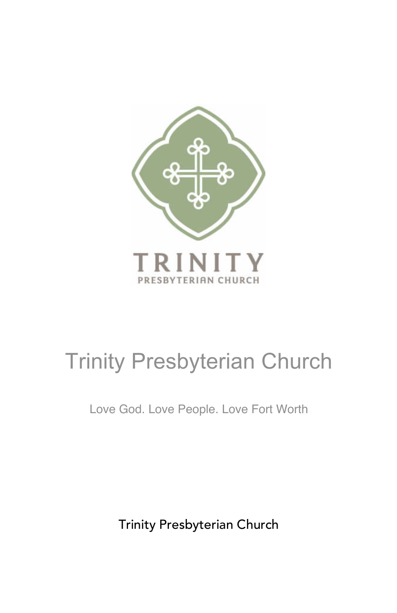

# Trinity Presbyterian Church

Love God. Love People. Love Fort Worth

Trinity Presbyterian Church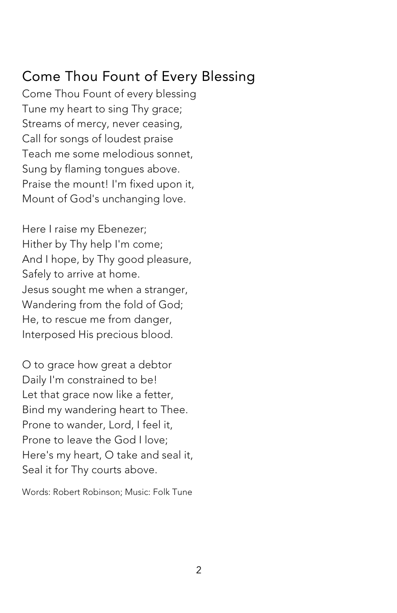# Come Thou Fount of Every Blessing

Come Thou Fount of every blessing Tune my heart to sing Thy grace; Streams of mercy, never ceasing, Call for songs of loudest praise Teach me some melodious sonnet, Sung by flaming tongues above. Praise the mount! I'm fixed upon it, Mount of God's unchanging love.

Here I raise my Ebenezer; Hither by Thy help I'm come; And I hope, by Thy good pleasure, Safely to arrive at home. Jesus sought me when a stranger, Wandering from the fold of God; He, to rescue me from danger, Interposed His precious blood.

O to grace how great a debtor Daily I'm constrained to be! Let that grace now like a fetter, Bind my wandering heart to Thee. Prone to wander, Lord, I feel it, Prone to leave the God I love; Here's my heart, O take and seal it, Seal it for Thy courts above.

Words: Robert Robinson; Music: Folk Tune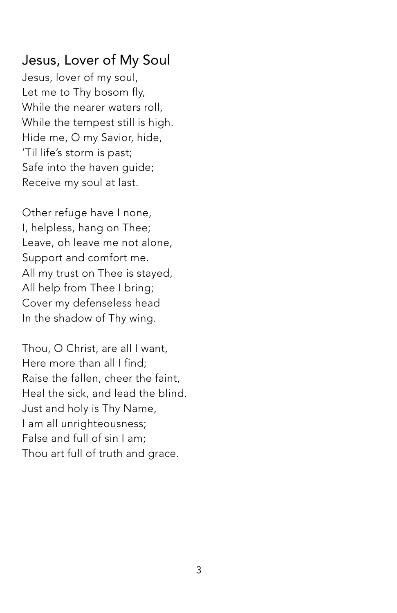#### Jesus, Lover of My Soul

Jesus, lover of my soul, Let me to Thy bosom fly, While the nearer waters roll, While the tempest still is high. Hide me, O my Savior, hide, 'Til life's storm is past; Safe into the haven guide; Receive my soul at last.

Other refuge have I none, I, helpless, hang on Thee; Leave, oh leave me not alone, Support and comfort me. All my trust on Thee is stayed, All help from Thee I bring; Cover my defenseless head In the shadow of Thy wing.

Thou, O Christ, are all I want, Here more than all I find; Raise the fallen, cheer the faint, Heal the sick, and lead the blind. Just and holy is Thy Name, I am all unrighteousness; False and full of sin I am; Thou art full of truth and grace.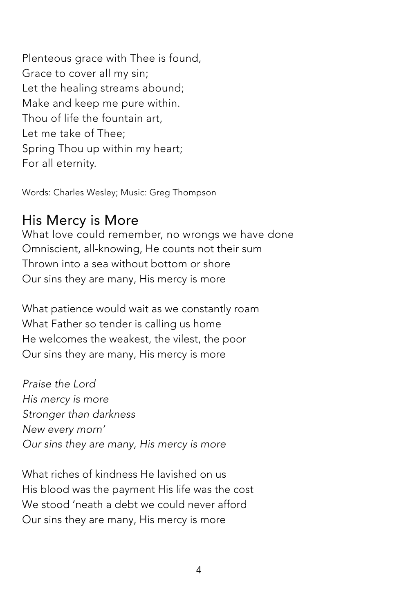Plenteous grace with Thee is found, Grace to cover all my sin; Let the healing streams abound; Make and keep me pure within. Thou of life the fountain art, Let me take of Thee; Spring Thou up within my heart; For all eternity.

Words: Charles Wesley; Music: Greg Thompson

#### His Mercy is More

What love could remember, no wrongs we have done Omniscient, all-knowing, He counts not their sum Thrown into a sea without bottom or shore Our sins they are many, His mercy is more

What patience would wait as we constantly roam What Father so tender is calling us home He welcomes the weakest, the vilest, the poor Our sins they are many, His mercy is more

*Praise the Lord His mercy is more Stronger than darkness New every morn' Our sins they are many, His mercy is more*

What riches of kindness He lavished on us His blood was the payment His life was the cost We stood 'neath a debt we could never afford Our sins they are many, His mercy is more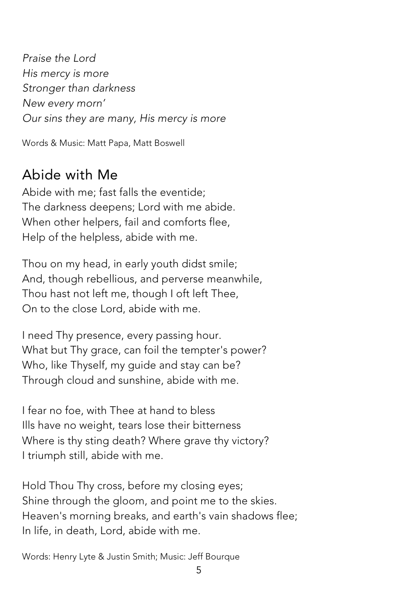*Praise the Lord His mercy is more Stronger than darkness New every morn' Our sins they are many, His mercy is more*

Words & Music: Matt Papa, Matt Boswell

# Abide with Me

Abide with me; fast falls the eventide; The darkness deepens; Lord with me abide. When other helpers, fail and comforts flee, Help of the helpless, abide with me.

Thou on my head, in early youth didst smile; And, though rebellious, and perverse meanwhile, Thou hast not left me, though I oft left Thee, On to the close Lord, abide with me.

I need Thy presence, every passing hour. What but Thy grace, can foil the tempter's power? Who, like Thyself, my guide and stay can be? Through cloud and sunshine, abide with me.

I fear no foe, with Thee at hand to bless Ills have no weight, tears lose their bitterness Where is thy sting death? Where grave thy victory? I triumph still, abide with me.

Hold Thou Thy cross, before my closing eyes; Shine through the gloom, and point me to the skies. Heaven's morning breaks, and earth's vain shadows flee; In life, in death, Lord, abide with me.

Words: Henry Lyte & Justin Smith; Music: Jeff Bourque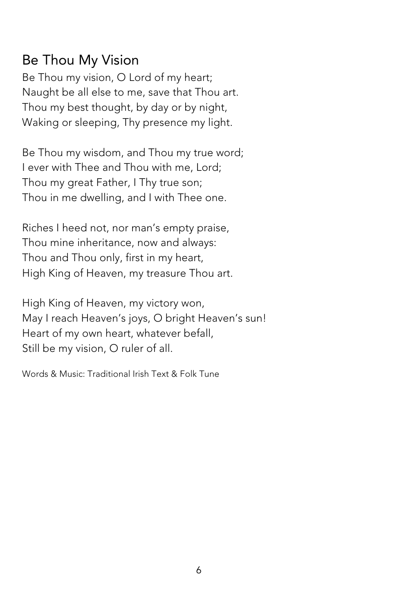## Be Thou My Vision

Be Thou my vision, O Lord of my heart; Naught be all else to me, save that Thou art. Thou my best thought, by day or by night, Waking or sleeping, Thy presence my light.

Be Thou my wisdom, and Thou my true word; I ever with Thee and Thou with me, Lord; Thou my great Father, I Thy true son; Thou in me dwelling, and I with Thee one.

Riches I heed not, nor man's empty praise, Thou mine inheritance, now and always: Thou and Thou only, first in my heart, High King of Heaven, my treasure Thou art.

High King of Heaven, my victory won, May I reach Heaven's joys, O bright Heaven's sun! Heart of my own heart, whatever befall, Still be my vision, O ruler of all.

Words & Music: Traditional Irish Text & Folk Tune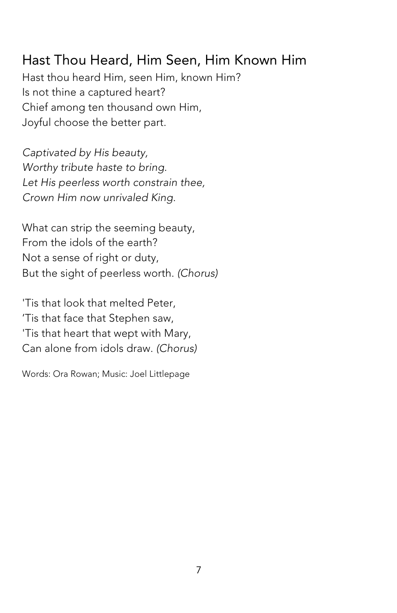# Hast Thou Heard, Him Seen, Him Known Him

Hast thou heard Him, seen Him, known Him? Is not thine a captured heart? Chief among ten thousand own Him, Joyful choose the better part.

*Captivated by His beauty, Worthy tribute haste to bring. Let His peerless worth constrain thee, Crown Him now unrivaled King.*

What can strip the seeming beauty, From the idols of the earth? Not a sense of right or duty, But the sight of peerless worth. *(Chorus)*

'Tis that look that melted Peter, 'Tis that face that Stephen saw, 'Tis that heart that wept with Mary, Can alone from idols draw. *(Chorus)*

Words: Ora Rowan; Music: Joel Littlepage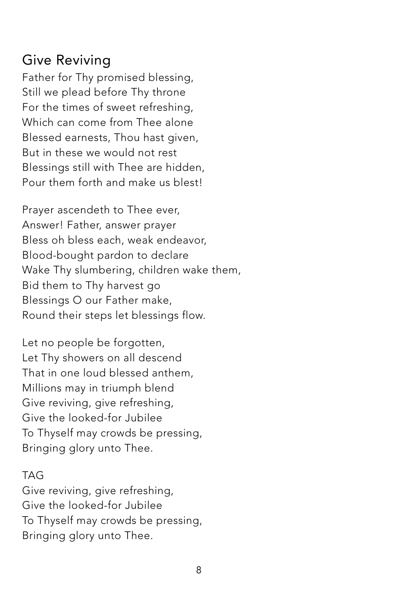# Give Reviving

Father for Thy promised blessing, Still we plead before Thy throne For the times of sweet refreshing, Which can come from Thee alone Blessed earnests, Thou hast given, But in these we would not rest Blessings still with Thee are hidden, Pour them forth and make us blest!

Prayer ascendeth to Thee ever, Answer! Father, answer prayer Bless oh bless each, weak endeavor, Blood-bought pardon to declare Wake Thy slumbering, children wake them, Bid them to Thy harvest go Blessings O our Father make, Round their steps let blessings flow.

Let no people be forgotten, Let Thy showers on all descend That in one loud blessed anthem, Millions may in triumph blend Give reviving, give refreshing, Give the looked-for Jubilee To Thyself may crowds be pressing, Bringing glory unto Thee.

#### TAG

Give reviving, give refreshing, Give the looked-for Jubilee To Thyself may crowds be pressing, Bringing glory unto Thee.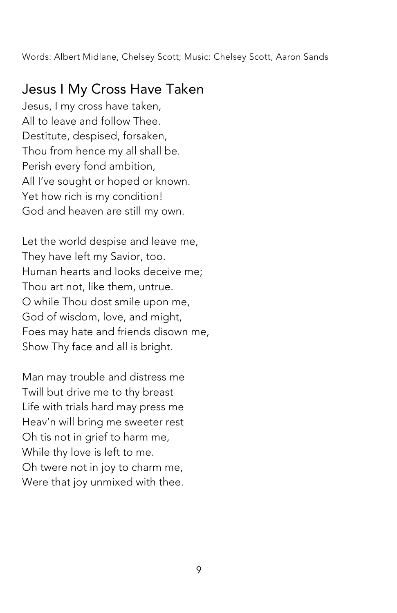Words: Albert Midlane, Chelsey Scott; Music: Chelsey Scott, Aaron Sands

# Jesus I My Cross Have Taken

Jesus, I my cross have taken, All to leave and follow Thee. Destitute, despised, forsaken, Thou from hence my all shall be. Perish every fond ambition, All I've sought or hoped or known. Yet how rich is my condition! God and heaven are still my own.

Let the world despise and leave me, They have left my Savior, too. Human hearts and looks deceive me; Thou art not, like them, untrue. O while Thou dost smile upon me, God of wisdom, love, and might, Foes may hate and friends disown me, Show Thy face and all is bright.

Man may trouble and distress me Twill but drive me to thy breast Life with trials hard may press me Heav'n will bring me sweeter rest Oh tis not in grief to harm me, While thy love is left to me. Oh twere not in joy to charm me, Were that joy unmixed with thee.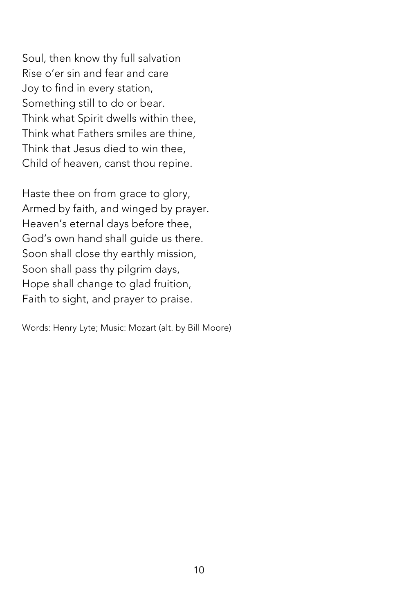Soul, then know thy full salvation Rise o'er sin and fear and care Joy to find in every station, Something still to do or bear. Think what Spirit dwells within thee, Think what Fathers smiles are thine, Think that Jesus died to win thee, Child of heaven, canst thou repine.

Haste thee on from grace to glory, Armed by faith, and winged by prayer. Heaven's eternal days before thee, God's own hand shall guide us there. Soon shall close thy earthly mission, Soon shall pass thy pilgrim days, Hope shall change to glad fruition, Faith to sight, and prayer to praise.

Words: Henry Lyte; Music: Mozart (alt. by Bill Moore)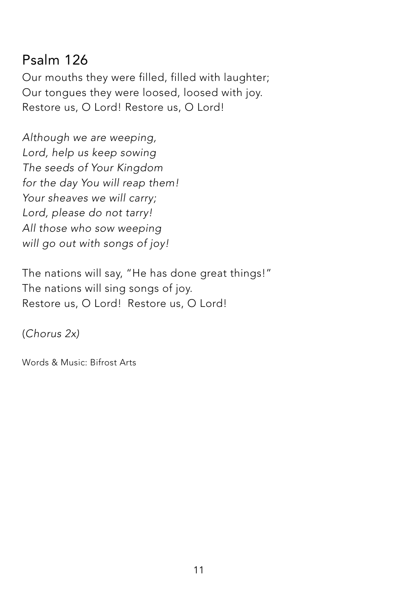# Psalm 126

Our mouths they were filled, filled with laughter; Our tongues they were loosed, loosed with joy. Restore us, O Lord! Restore us, O Lord!

*Although we are weeping, Lord, help us keep sowing The seeds of Your Kingdom for the day You will reap them! Your sheaves we will carry; Lord, please do not tarry! All those who sow weeping will go out with songs of joy!*

The nations will say, "He has done great things!" The nations will sing songs of joy. Restore us, O Lord! Restore us, O Lord!

(*Chorus 2x)*

Words & Music: Bifrost Arts